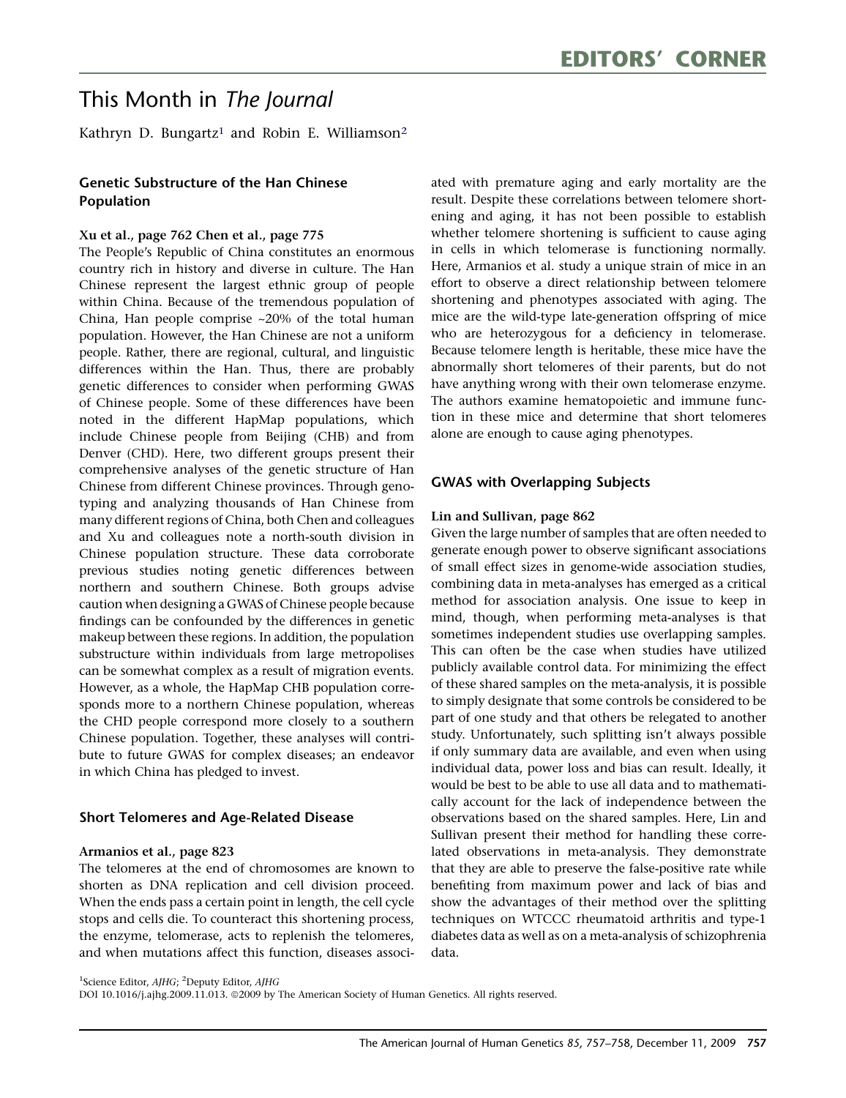# This Month in The Journal

Kathryn D. Bungartz<sup>1</sup> and Robin E. Williamson<sup>2</sup>

# Genetic Substructure of the Han Chinese Population

## Xu et al., page 762 Chen et al., page 775

The People's Republic of China constitutes an enormous country rich in history and diverse in culture. The Han Chinese represent the largest ethnic group of people within China. Because of the tremendous population of China, Han people comprise ~20% of the total human population. However, the Han Chinese are not a uniform people. Rather, there are regional, cultural, and linguistic differences within the Han. Thus, there are probably genetic differences to consider when performing GWAS of Chinese people. Some of these differences have been noted in the different HapMap populations, which include Chinese people from Beijing (CHB) and from Denver (CHD). Here, two different groups present their comprehensive analyses of the genetic structure of Han Chinese from different Chinese provinces. Through genotyping and analyzing thousands of Han Chinese from many different regions of China, both Chen and colleagues and Xu and colleagues note a north-south division in Chinese population structure. These data corroborate previous studies noting genetic differences between northern and southern Chinese. Both groups advise caution when designing a GWAS of Chinese people because findings can be confounded by the differences in genetic makeup between these regions. In addition, the population substructure within individuals from large metropolises can be somewhat complex as a result of migration events. However, as a whole, the HapMap CHB population corresponds more to a northern Chinese population, whereas the CHD people correspond more closely to a southern Chinese population. Together, these analyses will contribute to future GWAS for complex diseases; an endeavor in which China has pledged to invest.

#### Short Telomeres and Age-Related Disease

#### Armanios et al., page 823

The telomeres at the end of chromosomes are known to shorten as DNA replication and cell division proceed. When the ends pass a certain point in length, the cell cycle stops and cells die. To counteract this shortening process, the enzyme, telomerase, acts to replenish the telomeres, and when mutations affect this function, diseases associated with premature aging and early mortality are the result. Despite these correlations between telomere shortening and aging, it has not been possible to establish whether telomere shortening is sufficient to cause aging in cells in which telomerase is functioning normally. Here, Armanios et al. study a unique strain of mice in an effort to observe a direct relationship between telomere shortening and phenotypes associated with aging. The mice are the wild-type late-generation offspring of mice who are heterozygous for a deficiency in telomerase. Because telomere length is heritable, these mice have the abnormally short telomeres of their parents, but do not have anything wrong with their own telomerase enzyme. The authors examine hematopoietic and immune function in these mice and determine that short telomeres alone are enough to cause aging phenotypes.

# GWAS with Overlapping Subjects

#### Lin and Sullivan, page 862

Given the large number of samples that are often needed to generate enough power to observe significant associations of small effect sizes in genome-wide association studies, combining data in meta-analyses has emerged as a critical method for association analysis. One issue to keep in mind, though, when performing meta-analyses is that sometimes independent studies use overlapping samples. This can often be the case when studies have utilized publicly available control data. For minimizing the effect of these shared samples on the meta-analysis, it is possible to simply designate that some controls be considered to be part of one study and that others be relegated to another study. Unfortunately, such splitting isn't always possible if only summary data are available, and even when using individual data, power loss and bias can result. Ideally, it would be best to be able to use all data and to mathematically account for the lack of independence between the observations based on the shared samples. Here, Lin and Sullivan present their method for handling these correlated observations in meta-analysis. They demonstrate that they are able to preserve the false-positive rate while benefiting from maximum power and lack of bias and show the advantages of their method over the splitting techniques on WTCCC rheumatoid arthritis and type-1 diabetes data as well as on a meta-analysis of schizophrenia data.

<sup>&</sup>lt;sup>1</sup>Science Editor, AJHG; <sup>2</sup>Deputy Editor, AJHG

DOI 10.1016/j.ajhg.2009.11.013. @2009 by The American Society of Human Genetics. All rights reserved.